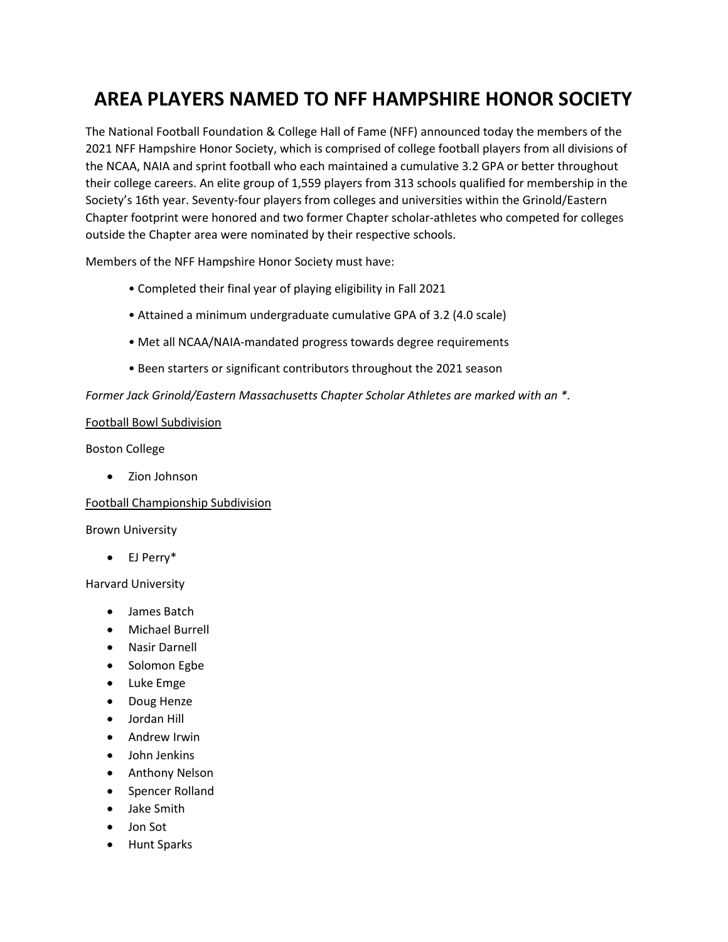# AREA PLAYERS NAMED TO NFF HAMPSHIRE HONOR SOCIETY

The National Football Foundation & College Hall of Fame (NFF) announced today the members of the 2021 NFF Hampshire Honor Society, which is comprised of college football players from all divisions of the NCAA, NAIA and sprint football who each maintained a cumulative 3.2 GPA or better throughout their college careers. An elite group of 1,559 players from 313 schools qualified for membership in the Society's 16th year. Seventy-four players from colleges and universities within the Grinold/Eastern Chapter footprint were honored and two former Chapter scholar-athletes who competed for colleges outside the Chapter area were nominated by their respective schools.

Members of the NFF Hampshire Honor Society must have:

- Completed their final year of playing eligibility in Fall 2021
- Attained a minimum undergraduate cumulative GPA of 3.2 (4.0 scale)
- Met all NCAA/NAIA-mandated progress towards degree requirements
- Been starters or significant contributors throughout the 2021 season

#### Former Jack Grinold/Eastern Massachusetts Chapter Scholar Athletes are marked with an \*.

#### Football Bowl Subdivision

Boston College

Zion Johnson

Football Championship Subdivision

Brown University

EJ Perry\*

Harvard University

- James Batch
- Michael Burrell
- Nasir Darnell
- Solomon Egbe
- Luke Emge
- Doug Henze
- Jordan Hill
- Andrew Irwin
- John Jenkins
- Anthony Nelson
- Spencer Rolland
- Jake Smith
- Jon Sot
- Hunt Sparks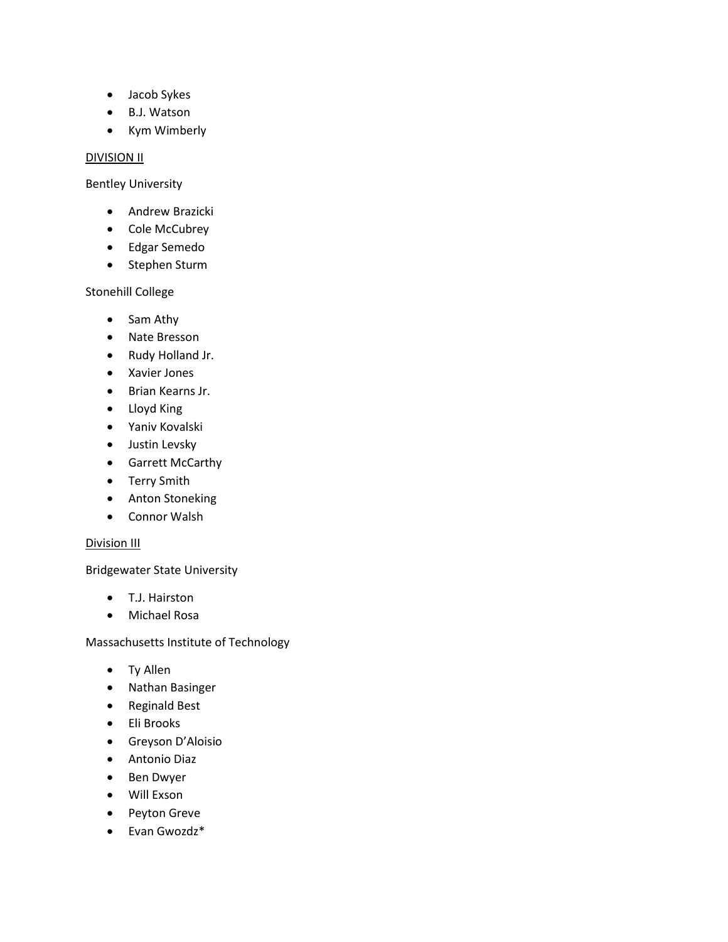- Jacob Sykes
- B.J. Watson
- Kym Wimberly

### DIVISION II

Bentley University

- **•** Andrew Brazicki
- Cole McCubrey
- Edgar Semedo
- Stephen Sturm

## Stonehill College

- Sam Athy
- Nate Bresson
- Rudy Holland Jr.
- Xavier Jones
- Brian Kearns Jr.
- Lloyd King
- Yaniv Kovalski
- **•** Justin Levsky
- Garrett McCarthy
- Terry Smith
- Anton Stoneking
- Connor Walsh

### Division III

Bridgewater State University

- T.J. Hairston
- Michael Rosa

### Massachusetts Institute of Technology

- Ty Allen
- Nathan Basinger
- Reginald Best
- Eli Brooks
- Greyson D'Aloisio
- Antonio Diaz
- Ben Dwyer
- Will Exson
- Peyton Greve
- Evan Gwozdz\*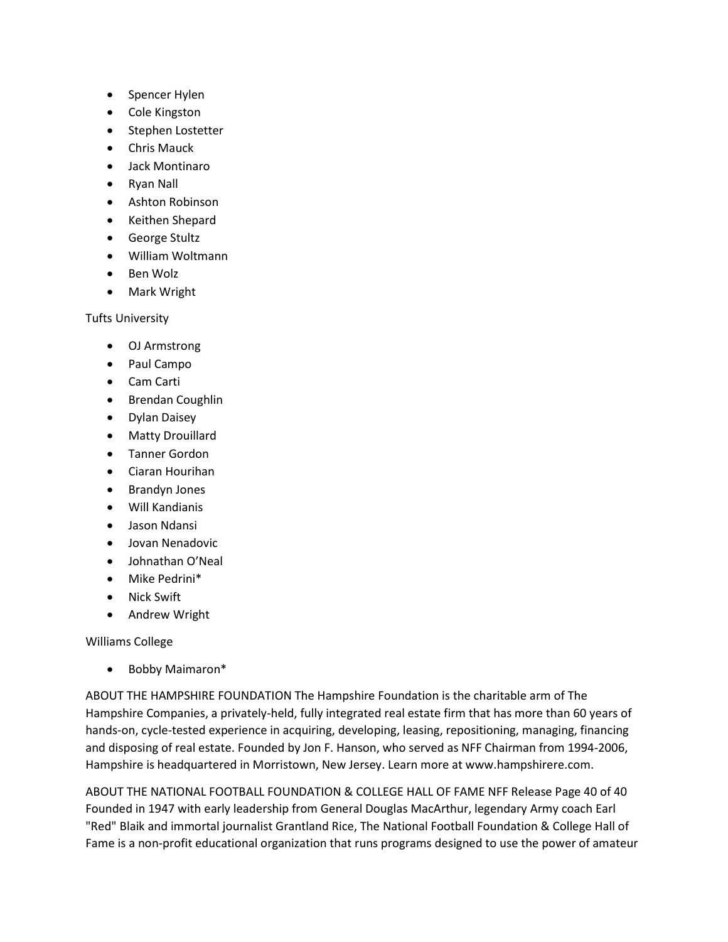- Spencer Hylen
- Cole Kingston
- Stephen Lostetter
- Chris Mauck
- Jack Montinaro
- Ryan Nall
- Ashton Robinson
- Keithen Shepard
- George Stultz
- William Woltmann
- Ben Wolz
- Mark Wright

Tufts University

- OJ Armstrong
- Paul Campo
- Cam Carti
- Brendan Coughlin
- **•** Dylan Daisey
- Matty Drouillard
- Tanner Gordon
- Ciaran Hourihan
- Brandyn Jones
- Will Kandianis
- Jason Ndansi
- Jovan Nenadovic
- Johnathan O'Neal
- Mike Pedrini\*
- Nick Swift
- **•** Andrew Wright

Williams College

Bobby Maimaron\*

ABOUT THE HAMPSHIRE FOUNDATION The Hampshire Foundation is the charitable arm of The Hampshire Companies, a privately-held, fully integrated real estate firm that has more than 60 years of hands-on, cycle-tested experience in acquiring, developing, leasing, repositioning, managing, financing and disposing of real estate. Founded by Jon F. Hanson, who served as NFF Chairman from 1994-2006, Hampshire is headquartered in Morristown, New Jersey. Learn more at www.hampshirere.com.

ABOUT THE NATIONAL FOOTBALL FOUNDATION & COLLEGE HALL OF FAME NFF Release Page 40 of 40 Founded in 1947 with early leadership from General Douglas MacArthur, legendary Army coach Earl "Red" Blaik and immortal journalist Grantland Rice, The National Football Foundation & College Hall of Fame is a non-profit educational organization that runs programs designed to use the power of amateur